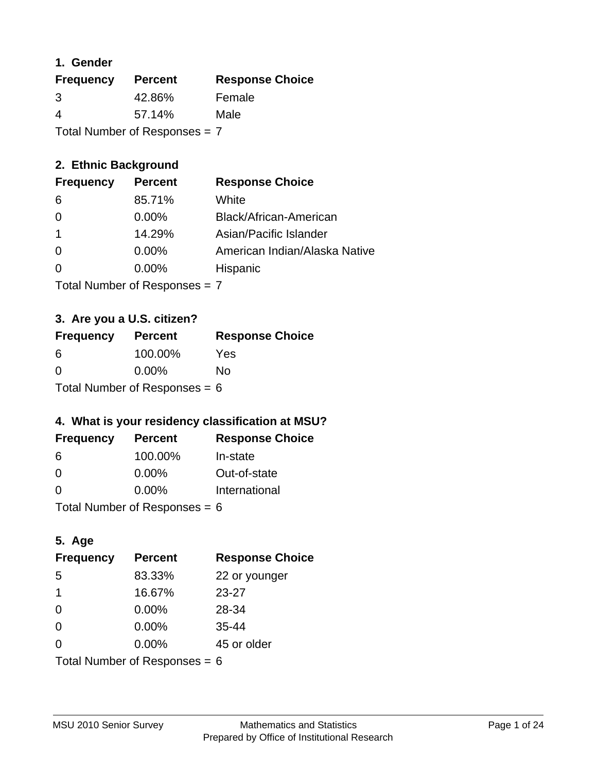#### **1. Gender**

| <b>Frequency</b>                | <b>Percent</b> | <b>Response Choice</b> |
|---------------------------------|----------------|------------------------|
| 3                               | 42.86%         | Female                 |
| 4                               | 57.14%         | Male                   |
| Total Number of Responses = $7$ |                |                        |

## **2. Ethnic Background**

| <b>Frequency</b> | <b>Percent</b> | <b>Response Choice</b>        |
|------------------|----------------|-------------------------------|
| -6               | 85.71%         | White                         |
| $\Omega$         | $0.00\%$       | Black/African-American        |
|                  | 14.29%         | Asian/Pacific Islander        |
| $\Omega$         | $0.00\%$       | American Indian/Alaska Native |
|                  | 0.00%          | Hispanic                      |
|                  |                |                               |

Total Number of Responses = 7

## **3. Are you a U.S. citizen?**

| <b>Frequency</b>                | <b>Percent</b> | <b>Response Choice</b> |
|---------------------------------|----------------|------------------------|
| -6                              | 100.00%        | Yes                    |
| $\Omega$                        | $0.00\%$       | No                     |
| Total Number of Responses = $6$ |                |                        |

## **4. What is your residency classification at MSU?**

| <b>Frequency</b> | <b>Percent</b> | <b>Response Choice</b> |
|------------------|----------------|------------------------|
| 6                | 100.00%        | In-state               |
| -0               | $0.00\%$       | Out-of-state           |
| $\Omega$         | $0.00\%$       | International          |
|                  |                |                        |

Total Number of Responses = 6

## **5. Age**

| <b>Frequency</b>                | <b>Percent</b> | <b>Response Choice</b> |
|---------------------------------|----------------|------------------------|
| 5                               | 83.33%         | 22 or younger          |
| 1                               | 16.67%         | $23 - 27$              |
| $\Omega$                        | 0.00%          | 28-34                  |
| $\Omega$                        | $0.00\%$       | $35 - 44$              |
| $\Omega$                        | 0.00%          | 45 or older            |
| Total Number of Responses = $6$ |                |                        |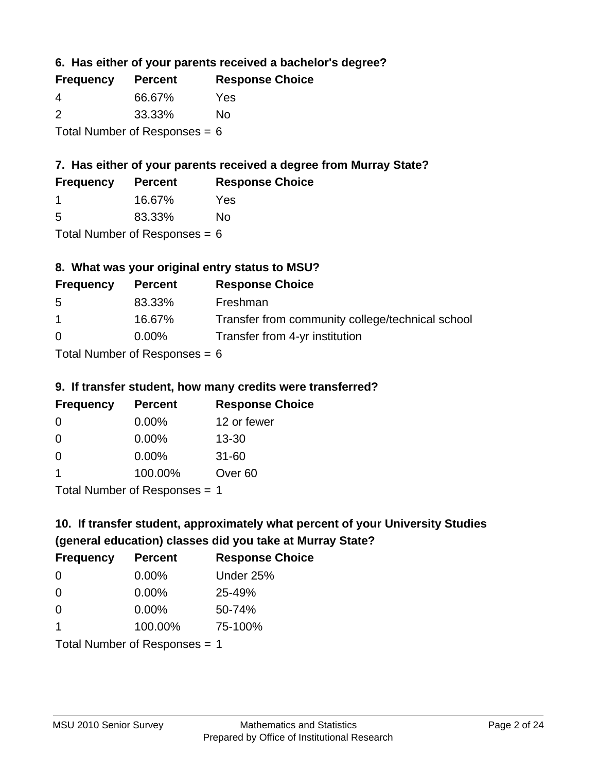**6. Has either of your parents received a bachelor's degree?**

| <b>Frequency</b>                | <b>Percent</b> | <b>Response Choice</b> |
|---------------------------------|----------------|------------------------|
| 4                               | 66.67%         | Yes                    |
| 2                               | 33.33%         | No                     |
| Total Number of Responses = $6$ |                |                        |

## **7. Has either of your parents received a degree from Murray State?**

| <b>Frequency</b> | <b>Percent</b> | <b>Response Choice</b> |
|------------------|----------------|------------------------|
|                  | 16.67%         | Yes                    |

5 83.33% No

Total Number of Responses  $= 6$ 

## **8. What was your original entry status to MSU?**

| <b>Frequency</b> | <b>Percent</b>                                                       | <b>Response Choice</b>                           |
|------------------|----------------------------------------------------------------------|--------------------------------------------------|
| 5                | 83.33%                                                               | Freshman                                         |
| $\mathbf 1$      | 16.67%                                                               | Transfer from community college/technical school |
| $\Omega$         | $0.00\%$                                                             | Transfer from 4-yr institution                   |
|                  | $T_{\rm eff}$ . The set of $R_{\rm eff}$ is the set of $R_{\rm eff}$ |                                                  |

Total Number of Responses  $= 6$ 

#### **9. If transfer student, how many credits were transferred?**

| <b>Frequency</b>               | <b>Percent</b> | <b>Response Choice</b> |
|--------------------------------|----------------|------------------------|
| -0                             | $0.00\%$       | 12 or fewer            |
| 0                              | $0.00\%$       | $13 - 30$              |
| 0                              | $0.00\%$       | $31 - 60$              |
|                                | 100.00%        | Over <sub>60</sub>     |
| $Total Number of DoEROROR = 1$ |                |                        |

Total Number of Responses = 1

# **10. If transfer student, approximately what percent of your University Studies (general education) classes did you take at Murray State?**

| <b>Frequency</b>              | <b>Percent</b> | <b>Response Choice</b> |
|-------------------------------|----------------|------------------------|
| $\Omega$                      | $0.00\%$       | Under 25%              |
| $\Omega$                      | $0.00\%$       | 25-49%                 |
| $\Omega$                      | 0.00%          | 50-74%                 |
|                               | 100.00%        | 75-100%                |
| Total Number of Responses = 1 |                |                        |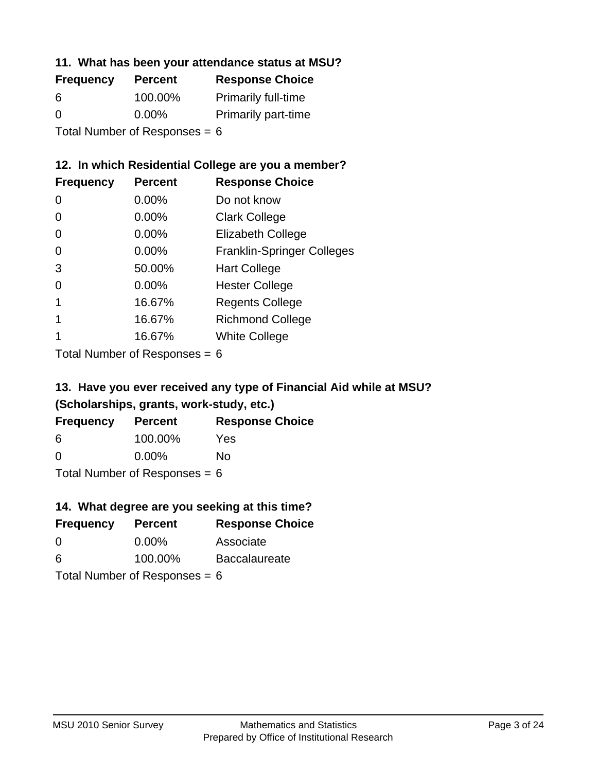#### **11. What has been your attendance status at MSU?**

| <b>Frequency</b>                | <b>Percent</b> | <b>Response Choice</b>     |
|---------------------------------|----------------|----------------------------|
| 6                               | 100.00%        | <b>Primarily full-time</b> |
| $\Omega$                        | $0.00\%$       | <b>Primarily part-time</b> |
| Total Number of Responses = $6$ |                |                            |

## **12. In which Residential College are you a member?**

| <b>Frequency</b> | <b>Percent</b> | <b>Response Choice</b>            |
|------------------|----------------|-----------------------------------|
| 0                | 0.00%          | Do not know                       |
| 0                | 0.00%          | <b>Clark College</b>              |
| 0                | 0.00%          | <b>Elizabeth College</b>          |
| 0                | $0.00\%$       | <b>Franklin-Springer Colleges</b> |
| 3                | 50.00%         | <b>Hart College</b>               |
| 0                | $0.00\%$       | <b>Hester College</b>             |
|                  | 16.67%         | <b>Regents College</b>            |
|                  | 16.67%         | <b>Richmond College</b>           |
|                  | 16.67%         | <b>White College</b>              |
|                  |                |                                   |

Total Number of Responses = 6

## **13. Have you ever received any type of Financial Aid while at MSU? (Scholarships, grants, work-study, etc.)**

| <b>Frequency</b> | <b>Percent</b>                   | <b>Response Choice</b> |
|------------------|----------------------------------|------------------------|
| 6                | 100.00%                          | Yes                    |
| 0                | $0.00\%$                         | No                     |
|                  | $Total Number of Denonog \theta$ |                        |

Total Number of Responses = 6

## **14. What degree are you seeking at this time?**

| <b>Frequency</b> | <b>Percent</b>                  | <b>Response Choice</b> |
|------------------|---------------------------------|------------------------|
| 0                | $0.00\%$                        | Associate              |
| 6                | 100.00%                         | <b>Baccalaureate</b>   |
|                  | Total Number of Responses = $6$ |                        |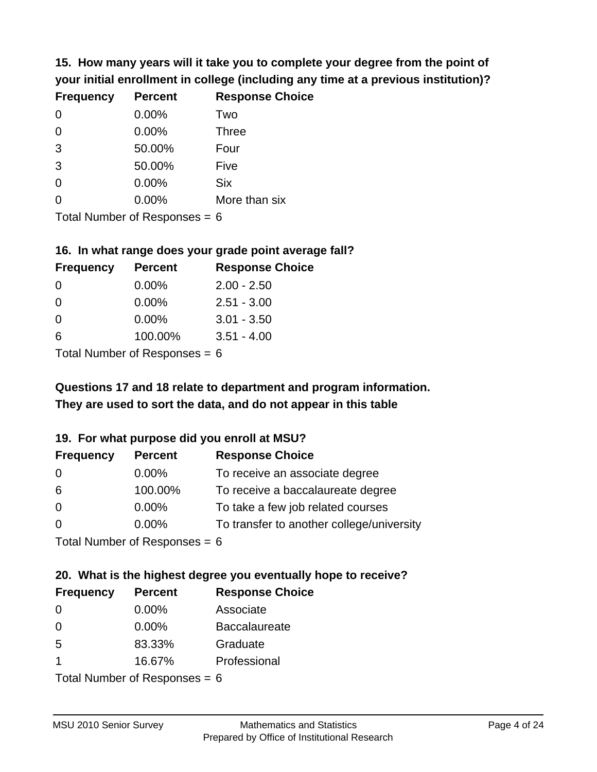**15. How many years will it take you to complete your degree from the point of your initial enrollment in college (including any time at a previous institution)?**

| <b>Frequency</b> | <b>Percent</b> | <b>Response Choice</b> |
|------------------|----------------|------------------------|
| 0                | 0.00%          | Two                    |
| 0                | 0.00%          | <b>Three</b>           |
| 3                | 50.00%         | Four                   |
| 3                | 50.00%         | Five                   |
| 0                | 0.00%          | <b>Six</b>             |
| 0                | 0.00%          | More than six          |
|                  |                |                        |

Total Number of Responses  $= 6$ 

#### **16. In what range does your grade point average fall?**

| <b>Frequency</b> | <b>Percent</b> | <b>Response Choice</b> |
|------------------|----------------|------------------------|
| 0                | 0.00%          | $2.00 - 2.50$          |
| 0                | $0.00\%$       | $2.51 - 3.00$          |
| 0                | $0.00\%$       | $3.01 - 3.50$          |
| 6                | 100.00%        | $3.51 - 4.00$          |
|                  |                |                        |

Total Number of Responses = 6

## **They are used to sort the data, and do not appear in this table Questions 17 and 18 relate to department and program information.**

#### **19. For what purpose did you enroll at MSU?**

| <b>Frequency</b> | <b>Percent</b>              | <b>Response Choice</b>                    |
|------------------|-----------------------------|-------------------------------------------|
| 0                | $0.00\%$                    | To receive an associate degree            |
| 6                | 100.00%                     | To receive a baccalaureate degree         |
| $\overline{0}$   | $0.00\%$                    | To take a few job related courses         |
| $\Omega$         | $0.00\%$                    | To transfer to another college/university |
|                  | Total Number of Deepensee C |                                           |

I otal Number of Responses  $= 6$ 

# **20. What is the highest degree you eventually hope to receive?**

| <b>Frequency</b>     | <b>Percent</b>            | <b>Response Choice</b> |
|----------------------|---------------------------|------------------------|
| 0                    | $0.00\%$                  | Associate              |
| 0                    | $0.00\%$                  | <b>Baccalaureate</b>   |
| 5                    | 83.33%                    | Graduate               |
| $\blacktriangleleft$ | 16.67%                    | Professional           |
|                      | Total Number of Deepensee |                        |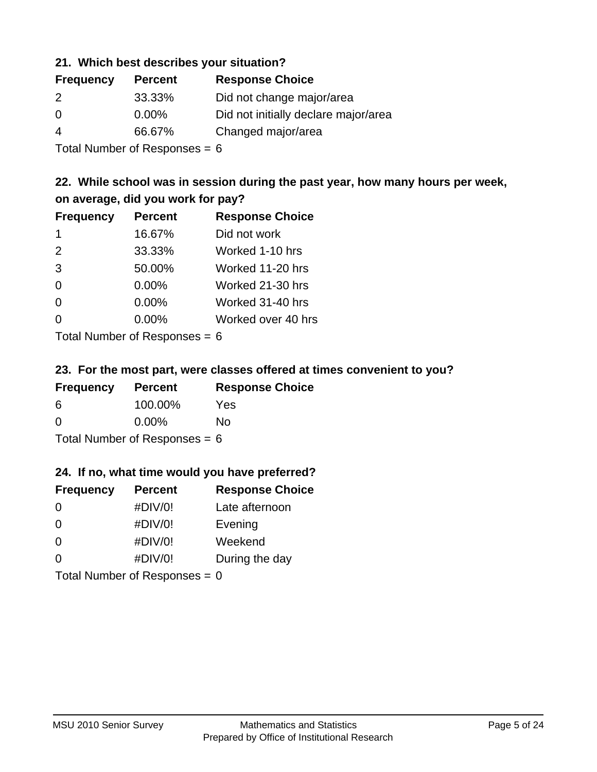#### **21. Which best describes your situation?**

| <b>Frequency</b> | <b>Percent</b> | <b>Response Choice</b>               |
|------------------|----------------|--------------------------------------|
| 2                | 33.33%         | Did not change major/area            |
| $\Omega$         | $0.00\%$       | Did not initially declare major/area |
| 4                | 66.67%         | Changed major/area                   |
|                  |                |                                      |

Total Number of Responses = 6

## **22. While school was in session during the past year, how many hours per week, on average, did you work for pay?**

| <b>Frequency</b> | <b>Percent</b> | <b>Response Choice</b> |
|------------------|----------------|------------------------|
| -1               | 16.67%         | Did not work           |
| 2                | 33.33%         | Worked 1-10 hrs        |
| 3                | 50.00%         | Worked 11-20 hrs       |
| $\Omega$         | 0.00%          | Worked 21-30 hrs       |
| $\Omega$         | 0.00%          | Worked 31-40 hrs       |
| 0                | 0.00%          | Worked over 40 hrs     |
|                  |                |                        |

Total Number of Responses = 6

#### **23. For the most part, were classes offered at times convenient to you?**

| <b>Frequency</b>                | <b>Percent</b> | <b>Response Choice</b> |
|---------------------------------|----------------|------------------------|
| 6                               | 100.00%        | Yes                    |
| $\Omega$                        | $0.00\%$       | Nο                     |
| Total Number of Responses = $6$ |                |                        |

#### **24. If no, what time would you have preferred?**

| <b>Frequency</b> | <b>Percent</b>                  | <b>Response Choice</b> |
|------------------|---------------------------------|------------------------|
| $\Omega$         | #DIV/0!                         | Late afternoon         |
| $\Omega$         | #DIV/0!                         | Evening                |
| 0                | #DIV/0!                         | Weekend                |
| $\Omega$         | #DIV/0!                         | During the day         |
|                  | Total Number of Responses = $0$ |                        |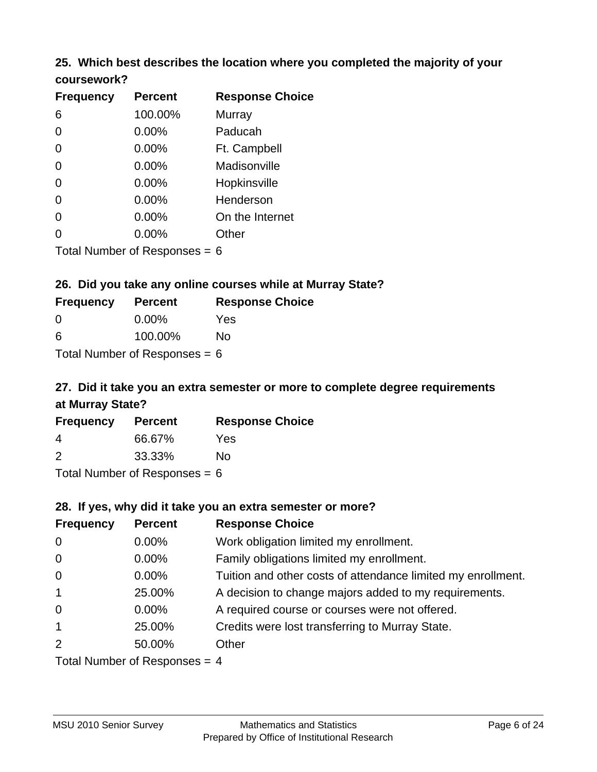#### **25. Which best describes the location where you completed the majority of your coursework?**

| <b>Frequency</b>           | <b>Percent</b> | <b>Response Choice</b> |
|----------------------------|----------------|------------------------|
| 6                          | 100.00%        | Murray                 |
| 0                          | 0.00%          | Paducah                |
| $\overline{0}$             | 0.00%          | Ft. Campbell           |
| $\overline{0}$             | 0.00%          | Madisonville           |
| 0                          | 0.00%          | Hopkinsville           |
| $\overline{0}$             | 0.00%          | Henderson              |
| 0                          | 0.00%          | On the Internet        |
| 0                          | 0.00%          | Other                  |
| Total Number of Deepersoon |                |                        |

Total Number of Responses = 6

#### **26. Did you take any online courses while at Murray State?**

| <b>Frequency</b>                | <b>Percent</b> | <b>Response Choice</b> |
|---------------------------------|----------------|------------------------|
| - 0                             | $0.00\%$       | Yes                    |
| -6                              | 100.00%        | No                     |
| Total Number of Responses = $6$ |                |                        |

# **27. Did it take you an extra semester or more to complete degree requirements at Murray State?**

| <b>Frequency</b> | <b>Percent</b> | <b>Response Choice</b> |
|------------------|----------------|------------------------|
| 4                | 66.67%         | Yes                    |
| $\mathcal{P}$    | 33.33%         | No                     |
|                  |                |                        |

Total Number of Responses = 6

#### **28. If yes, why did it take you an extra semester or more?**

| <b>Frequency</b>                | <b>Percent</b> | <b>Response Choice</b>                                       |
|---------------------------------|----------------|--------------------------------------------------------------|
| $\overline{0}$                  | $0.00\%$       | Work obligation limited my enrollment.                       |
| $\mathbf 0$                     | $0.00\%$       | Family obligations limited my enrollment.                    |
| $\mathbf 0$                     | $0.00\%$       | Tuition and other costs of attendance limited my enrollment. |
| $\mathbf{1}$                    | 25.00%         | A decision to change majors added to my requirements.        |
| $\mathbf 0$                     | $0.00\%$       | A required course or courses were not offered.               |
| $\mathbf{1}$                    | 25.00%         | Credits were lost transferring to Murray State.              |
| 2                               | 50.00%         | Other                                                        |
| Total Number of Responses = $4$ |                |                                                              |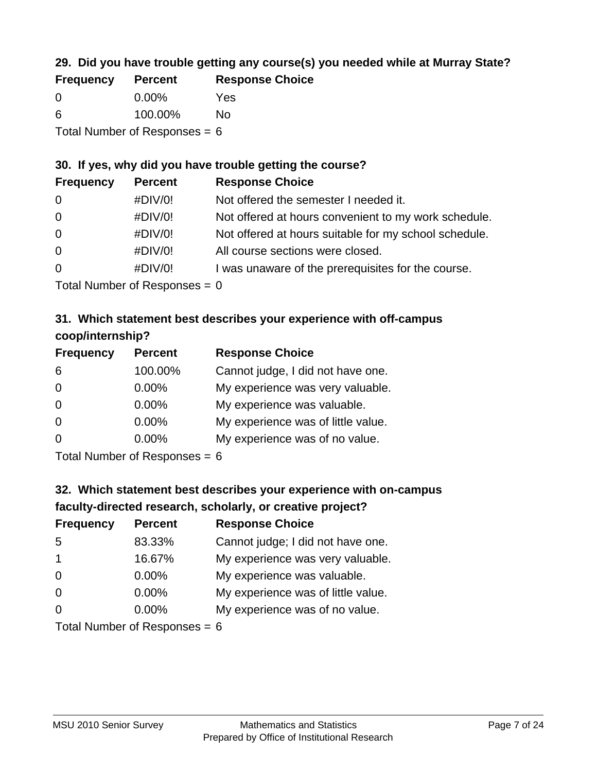## **29. Did you have trouble getting any course(s) you needed while at Murray State?**

| <b>Frequency</b>                | <b>Percent</b> | <b>Response Choice</b> |
|---------------------------------|----------------|------------------------|
| - 0                             | $0.00\%$       | Yes                    |
| -6                              | 100.00%        | Nο                     |
| Total Number of Responses = $6$ |                |                        |

#### **30. If yes, why did you have trouble getting the course?**

| <b>Frequency</b> | <b>Percent</b> | <b>Response Choice</b>                                |
|------------------|----------------|-------------------------------------------------------|
| $\overline{0}$   | #DIV/0!        | Not offered the semester I needed it.                 |
| $\overline{0}$   | #DIV/0!        | Not offered at hours convenient to my work schedule.  |
| $\overline{0}$   | #DIV/0!        | Not offered at hours suitable for my school schedule. |
| $\overline{0}$   | #DIV/0!        | All course sections were closed.                      |
| $\overline{0}$   | #DIV/0!        | I was unaware of the prerequisites for the course.    |
|                  |                |                                                       |

Total Number of Responses  $= 0$ 

## **31. Which statement best describes your experience with off-campus coop/internship?**

| <b>Frequency</b> | <b>Percent</b>                                                     | <b>Response Choice</b>             |
|------------------|--------------------------------------------------------------------|------------------------------------|
| 6                | 100.00%                                                            | Cannot judge, I did not have one.  |
| $\Omega$         | 0.00%                                                              | My experience was very valuable.   |
| $\Omega$         | 0.00%                                                              | My experience was valuable.        |
| $\Omega$         | 0.00%                                                              | My experience was of little value. |
| $\Omega$         | 0.00%                                                              | My experience was of no value.     |
|                  | $T$ at all Message and $R$ $\sim$ and $\sim$ and $\sim$ and $\sim$ |                                    |

Total Number of Responses  $= 6$ 

# **32. Which statement best describes your experience with on-campus faculty-directed research, scholarly, or creative project?**

| <b>Frequency</b> | <b>Percent</b>                                        | <b>Response Choice</b>             |
|------------------|-------------------------------------------------------|------------------------------------|
| 5                | 83.33%                                                | Cannot judge; I did not have one.  |
| $\overline{1}$   | 16.67%                                                | My experience was very valuable.   |
| $\Omega$         | $0.00\%$                                              | My experience was valuable.        |
| $\Omega$         | 0.00%                                                 | My experience was of little value. |
| $\Omega$         | 0.00%                                                 | My experience was of no value.     |
|                  | $T_{\text{shell}}$ N, as begin of Deconomics $\alpha$ |                                    |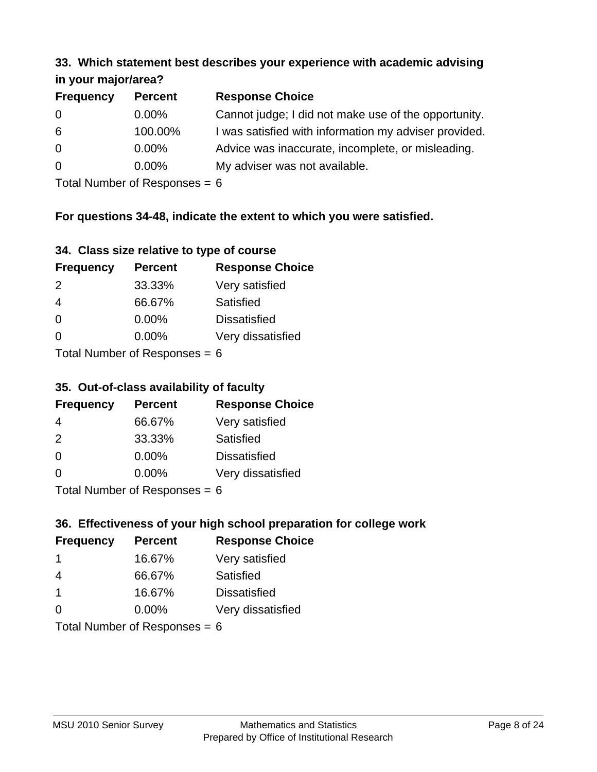#### **33. Which statement best describes your experience with academic advising in your major/area?**

| $\cdots$ your mapproved. |                |                                                       |
|--------------------------|----------------|-------------------------------------------------------|
| <b>Frequency</b>         | <b>Percent</b> | <b>Response Choice</b>                                |
| 0                        | $0.00\%$       | Cannot judge; I did not make use of the opportunity.  |
| 6                        | 100.00%        | I was satisfied with information my adviser provided. |
| $\overline{0}$           | $0.00\%$       | Advice was inaccurate, incomplete, or misleading.     |
| 0                        | $0.00\%$       | My adviser was not available.                         |
|                          |                |                                                       |

Total Number of Responses = 6

## **For questions 34-48, indicate the extent to which you were satisfied.**

| 34. Class size relative to type of course |
|-------------------------------------------|
|-------------------------------------------|

| <b>Frequency</b>              | <b>Percent</b> | <b>Response Choice</b> |  |
|-------------------------------|----------------|------------------------|--|
| 2                             | 33.33%         | Very satisfied         |  |
| 4                             | 66.67%         | Satisfied              |  |
| $\Omega$                      | 0.00%          | <b>Dissatisfied</b>    |  |
| $\Omega$                      | $0.00\%$       | Very dissatisfied      |  |
| $Total Number of Denance = 6$ |                |                        |  |

Total Number of Responses  $= 6$ 

#### **35. Out-of-class availability of faculty**

| <b>Frequency</b>          | <b>Percent</b> | <b>Response Choice</b> |
|---------------------------|----------------|------------------------|
| 4                         | 66.67%         | Very satisfied         |
| $\mathcal{P}$             | 33.33%         | Satisfied              |
| $\Omega$                  | $0.00\%$       | <b>Dissatisfied</b>    |
| $\Omega$                  | $0.00\%$       | Very dissatisfied      |
| Total Number of Deepersee |                |                        |

Total Number of Responses = 6

## **36. Effectiveness of your high school preparation for college work**

| <b>Frequency</b> | <b>Percent</b>                  | <b>Response Choice</b> |
|------------------|---------------------------------|------------------------|
| -1               | 16.67%                          | Very satisfied         |
| 4                | 66.67%                          | Satisfied              |
| $\mathbf 1$      | 16.67%                          | <b>Dissatisfied</b>    |
| $\Omega$         | $0.00\%$                        | Very dissatisfied      |
|                  | Total Number of Responses = $6$ |                        |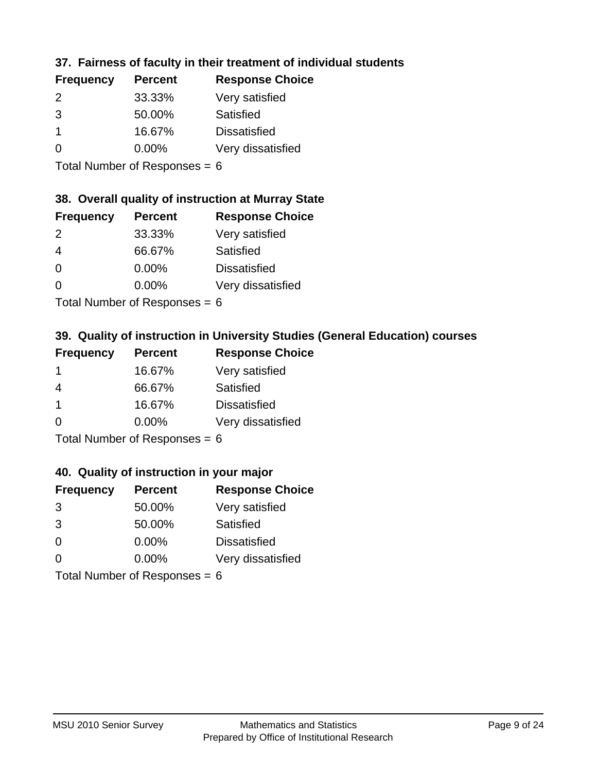## **37. Fairness of faculty in their treatment of individual students**

| <b>Frequency</b> | <b>Percent</b> | <b>Response Choice</b> |
|------------------|----------------|------------------------|
| $\mathcal{P}$    | 33.33%         | Very satisfied         |
| 3                | 50.00%         | Satisfied              |
|                  | 16.67%         | <b>Dissatisfied</b>    |
| $\Omega$         | $0.00\%$       | Very dissatisfied      |
|                  |                |                        |

Total Number of Responses = 6

## **38. Overall quality of instruction at Murray State**

| <b>Frequency</b> | <b>Percent</b> | <b>Response Choice</b> |
|------------------|----------------|------------------------|
| $\mathcal{P}$    | 33.33%         | Very satisfied         |
| 4                | 66.67%         | Satisfied              |
| $\Omega$         | 0.00%          | <b>Dissatisfied</b>    |
| ∩                | 0.00%          | Very dissatisfied      |
|                  |                |                        |

Total Number of Responses  $= 6$ 

## **39. Quality of instruction in University Studies (General Education) courses**

| <b>Frequency</b> | <b>Percent</b>             | <b>Response Choice</b> |
|------------------|----------------------------|------------------------|
|                  | 16.67%                     | Very satisfied         |
| 4                | 66.67%                     | Satisfied              |
| -1               | 16.67%                     | <b>Dissatisfied</b>    |
| $\Omega$         | 0.00%                      | Very dissatisfied      |
|                  | Tatal Manakan af Dagmanage |                        |

Total Number of Responses  $= 6$ 

#### **40. Quality of instruction in your major**

| <b>Frequency</b> | <b>Percent</b>             | <b>Response Choice</b> |
|------------------|----------------------------|------------------------|
| 3                | 50.00%                     | Very satisfied         |
| 3                | 50.00%                     | Satisfied              |
| $\Omega$         | 0.00%                      | <b>Dissatisfied</b>    |
| $\Omega$         | 0.00%                      | Very dissatisfied      |
|                  | Total Number of Deepersoon |                        |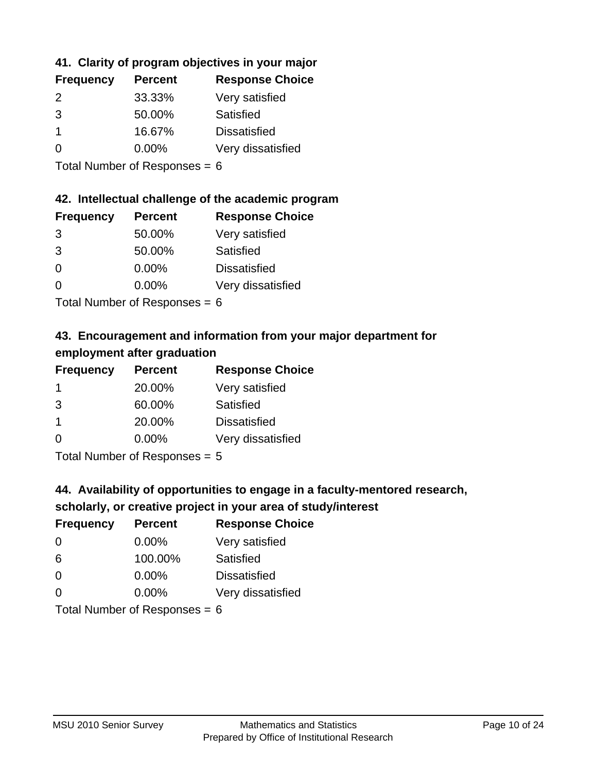## **41. Clarity of program objectives in your major**

| <b>Frequency</b> | <b>Percent</b> | <b>Response Choice</b> |
|------------------|----------------|------------------------|
| 2                | 33.33%         | Very satisfied         |
| 3                | 50.00%         | Satisfied              |
|                  | 16.67%         | <b>Dissatisfied</b>    |
| $\Omega$         | $0.00\%$       | Very dissatisfied      |
|                  |                |                        |

Total Number of Responses = 6

#### **42. Intellectual challenge of the academic program**

| <b>Frequency</b> | <b>Percent</b> | <b>Response Choice</b> |
|------------------|----------------|------------------------|
| 3                | 50.00%         | Very satisfied         |
| 3                | 50.00%         | Satisfied              |
| $\Omega$         | 0.00%          | <b>Dissatisfied</b>    |
| $\Omega$         | 0.00%          | Very dissatisfied      |
|                  |                |                        |

Total Number of Responses = 6

## **43. Encouragement and information from your major department for employment after graduation**

| <b>Frequency</b> | <b>Percent</b>                | <b>Response Choice</b> |
|------------------|-------------------------------|------------------------|
| -1               | 20.00%                        | Very satisfied         |
| 3                | 60.00%                        | Satisfied              |
| $\mathbf 1$      | 20.00%                        | <b>Dissatisfied</b>    |
| $\Omega$         | $0.00\%$                      | Very dissatisfied      |
|                  | Total Nives box of Doom owned |                        |

Total Number of Responses = 5

## **44. Availability of opportunities to engage in a faculty-mentored research,**

## **scholarly, or creative project in your area of study/interest**

| <b>Frequency</b> | <b>Percent</b> | <b>Response Choice</b> |
|------------------|----------------|------------------------|
| 0                | $0.00\%$       | Very satisfied         |
| 6                | 100.00%        | Satisfied              |
| $\Omega$         | $0.00\%$       | <b>Dissatisfied</b>    |
| $\Omega$         | 0.00%          | Very dissatisfied      |
|                  |                |                        |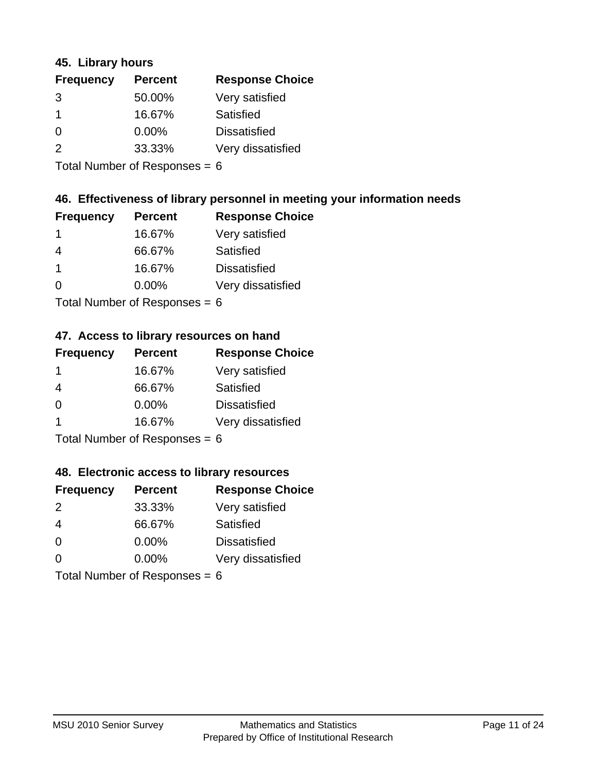#### **45. Library hours**

| <b>Frequency</b> | <b>Percent</b> | <b>Response Choice</b> |
|------------------|----------------|------------------------|
| 3                | 50.00%         | Very satisfied         |
|                  | 16.67%         | Satisfied              |
| $\Omega$         | $0.00\%$       | <b>Dissatisfied</b>    |
| $\mathcal{P}$    | 33.33%         | Very dissatisfied      |
|                  |                |                        |

Total Number of Responses = 6

#### **46. Effectiveness of library personnel in meeting your information needs**

| <b>Frequency</b> | <b>Percent</b> | <b>Response Choice</b> |
|------------------|----------------|------------------------|
|                  | 16.67%         | Very satisfied         |
| 4                | 66.67%         | Satisfied              |
|                  | 16.67%         | <b>Dissatisfied</b>    |
| O                | $0.00\%$       | Very dissatisfied      |
|                  |                |                        |

Total Number of Responses = 6

#### **47. Access to library resources on hand**

| <b>Frequency</b> | <b>Percent</b>             | <b>Response Choice</b> |
|------------------|----------------------------|------------------------|
| -1               | 16.67%                     | Very satisfied         |
| 4                | 66.67%                     | Satisfied              |
| $\Omega$         | $0.00\%$                   | <b>Dissatisfied</b>    |
|                  | 16.67%                     | Very dissatisfied      |
|                  | Total Number of Deepersoon |                        |

Total Number of Responses = 6

#### **48. Electronic access to library resources**

| <b>Frequency</b>                | <b>Percent</b> | <b>Response Choice</b> |
|---------------------------------|----------------|------------------------|
| $\mathcal{P}$                   | 33.33%         | Very satisfied         |
| 4                               | 66.67%         | Satisfied              |
| $\Omega$                        | $0.00\%$       | <b>Dissatisfied</b>    |
| $\Omega$                        | $0.00\%$       | Very dissatisfied      |
| Total Number of Responses = $6$ |                |                        |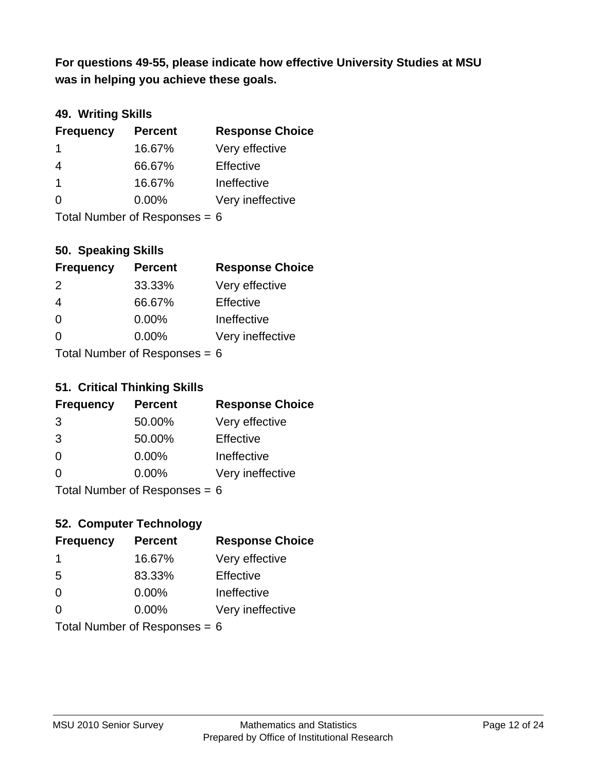**was in helping you achieve these goals. For questions 49-55, please indicate how effective University Studies at MSU** 

## **49. Writing Skills**

| <b>Frequency</b>                | <b>Percent</b> | <b>Response Choice</b> |
|---------------------------------|----------------|------------------------|
| -1                              | 16.67%         | Very effective         |
| 4                               | 66.67%         | Effective              |
| $\mathbf 1$                     | 16.67%         | Ineffective            |
| $\Omega$                        | $0.00\%$       | Very ineffective       |
| Total Number of Responses = $6$ |                |                        |

**50. Speaking Skills**

| <b>Frequency</b>           | <b>Percent</b> | <b>Response Choice</b> |
|----------------------------|----------------|------------------------|
| 2                          | 33.33%         | Very effective         |
| 4                          | 66.67%         | Effective              |
| $\Omega$                   | 0.00%          | Ineffective            |
| ∩                          | 0.00%          | Very ineffective       |
| Total Number of Denonone – |                |                        |

Total Number of Responses = 6

#### **51. Critical Thinking Skills**

| <b>Frequency</b>          | <b>Percent</b> | <b>Response Choice</b> |
|---------------------------|----------------|------------------------|
| 3                         | 50.00%         | Very effective         |
| 3                         | 50.00%         | Effective              |
| $\overline{0}$            | 0.00%          | Ineffective            |
| $\Omega$                  | 0.00%          | Very ineffective       |
| Total Number of Desponses |                |                        |

Total Number of Responses = 6

## **52. Computer Technology**

| <b>Frequency</b>                | <b>Percent</b> | <b>Response Choice</b> |
|---------------------------------|----------------|------------------------|
| -1                              | 16.67%         | Very effective         |
| 5                               | 83.33%         | Effective              |
| $\Omega$                        | $0.00\%$       | Ineffective            |
| $\Omega$                        | 0.00%          | Very ineffective       |
| Total Number of Responses = $6$ |                |                        |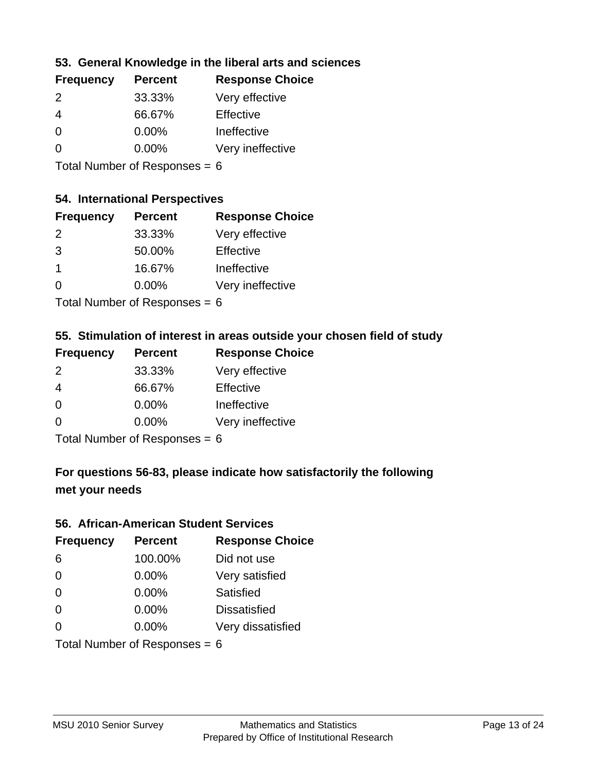#### **53. General Knowledge in the liberal arts and sciences**

| <b>Frequency</b> | <b>Percent</b> | <b>Response Choice</b> |
|------------------|----------------|------------------------|
| $\mathcal{P}$    | 33.33%         | Very effective         |
| 4                | 66.67%         | Effective              |
| $\Omega$         | $0.00\%$       | Ineffective            |
| $\Omega$         | 0.00%          | Very ineffective       |
|                  |                |                        |

Total Number of Responses = 6

### **54. International Perspectives**

| <b>Frequency</b> | <b>Percent</b> | <b>Response Choice</b> |
|------------------|----------------|------------------------|
| $\mathcal{P}$    | 33.33%         | Very effective         |
| 3                | 50.00%         | Effective              |
| 1                | 16.67%         | Ineffective            |
| ∩                | 0.00%          | Very ineffective       |
|                  |                |                        |

Total Number of Responses  $= 6$ 

#### **55. Stimulation of interest in areas outside your chosen field of study**

| <b>Frequency</b> | <b>Percent</b>             | <b>Response Choice</b> |
|------------------|----------------------------|------------------------|
| 2                | 33.33%                     | Very effective         |
| $\overline{4}$   | 66.67%                     | Effective              |
| $\Omega$         | 0.00%                      | Ineffective            |
| $\Omega$         | 0.00%                      | Very ineffective       |
|                  | Total Number of Desperance |                        |

Total Number of Responses = 6

## **For questions 56-83, please indicate how satisfactorily the following met your needs**

#### **56. African-American Student Services**

| <b>Frequency</b>                | <b>Percent</b> | <b>Response Choice</b> |
|---------------------------------|----------------|------------------------|
| 6                               | 100.00%        | Did not use            |
| $\Omega$                        | 0.00%          | Very satisfied         |
| $\Omega$                        | 0.00%          | Satisfied              |
| $\Omega$                        | $0.00\%$       | <b>Dissatisfied</b>    |
| $\Omega$                        | 0.00%          | Very dissatisfied      |
| Total Number of Responses = $6$ |                |                        |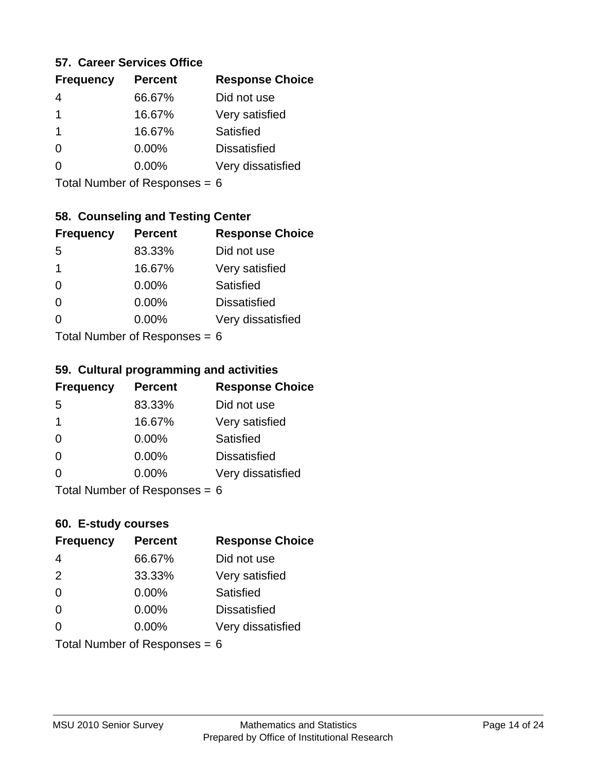#### **57. Career Services Office**

| <b>Frequency</b> | <b>Percent</b> | <b>Response Choice</b> |
|------------------|----------------|------------------------|
|                  | 66.67%         | Did not use            |
| 1                | 16.67%         | Very satisfied         |
| 1                | 16.67%         | Satisfied              |
|                  | $0.00\%$       | <b>Dissatisfied</b>    |
|                  | $0.00\%$       | Very dissatisfied      |
|                  |                |                        |

Total Number of Responses = 6

#### **58. Counseling and Testing Center**

| <b>Frequency</b>          | <b>Percent</b> | <b>Response Choice</b> |
|---------------------------|----------------|------------------------|
| -5                        | 83.33%         | Did not use            |
| 1                         | 16.67%         | Very satisfied         |
| 0                         | 0.00%          | Satisfied              |
| 0                         | 0.00%          | <b>Dissatisfied</b>    |
| 0                         | $0.00\%$       | Very dissatisfied      |
| Total Number of Desponses |                |                        |

Total Number of Responses = 6

#### **59. Cultural programming and activities**

| <b>Frequency</b>                | <b>Percent</b> | <b>Response Choice</b> |
|---------------------------------|----------------|------------------------|
| -5                              | 83.33%         | Did not use            |
| 1                               | 16.67%         | Very satisfied         |
| $\Omega$                        | $0.00\%$       | <b>Satisfied</b>       |
| $\Omega$                        | 0.00%          | <b>Dissatisfied</b>    |
| $\Omega$                        | $0.00\%$       | Very dissatisfied      |
| $Total$ Number of Despanses $-$ |                |                        |

Total Number of Responses = 6

#### **60. E-study courses**

| <b>Frequency</b>                | <b>Percent</b> | <b>Response Choice</b> |
|---------------------------------|----------------|------------------------|
| 4                               | 66.67%         | Did not use            |
| 2                               | 33.33%         | Very satisfied         |
| $\Omega$                        | 0.00%          | Satisfied              |
| $\Omega$                        | 0.00%          | <b>Dissatisfied</b>    |
| $\Omega$                        | $0.00\%$       | Very dissatisfied      |
| Total Number of Responses = $6$ |                |                        |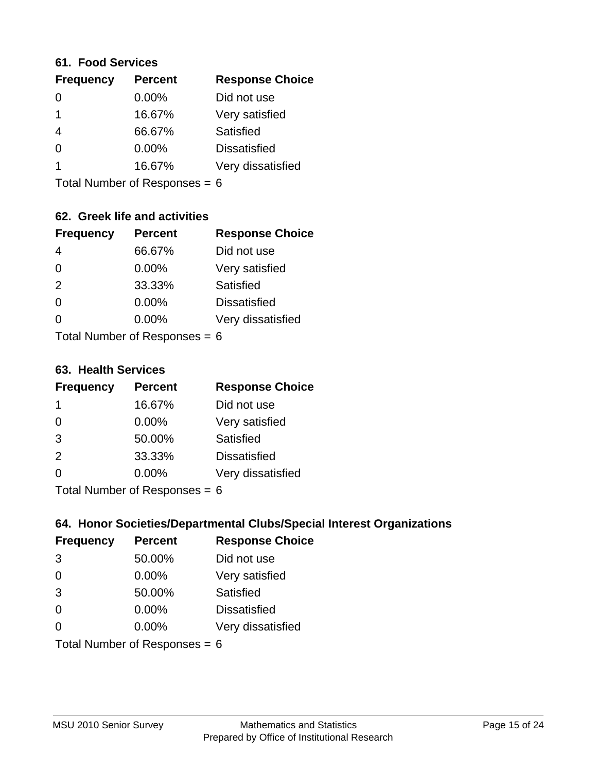#### **61. Food Services**

| <b>Frequency</b> | <b>Percent</b> | <b>Response Choice</b> |
|------------------|----------------|------------------------|
| 0                | 0.00%          | Did not use            |
|                  | 16.67%         | Very satisfied         |
| 4                | 66.67%         | Satisfied              |
| $\Omega$         | $0.00\%$       | <b>Dissatisfied</b>    |
|                  | 16.67%         | Very dissatisfied      |
|                  |                |                        |

Total Number of Responses = 6

## **62. Greek life and activities**

| <b>Frequency</b>                | <b>Percent</b> | <b>Response Choice</b> |
|---------------------------------|----------------|------------------------|
| 4                               | 66.67%         | Did not use            |
| $\Omega$                        | 0.00%          | Very satisfied         |
| 2                               | 33.33%         | Satisfied              |
| $\Omega$                        | 0.00%          | <b>Dissatisfied</b>    |
| O                               | 0.00%          | Very dissatisfied      |
| Total Number of Responses = $6$ |                |                        |

**63. Health Services**

| <b>Frequency</b> | <b>Percent</b> | <b>Response Choice</b> |
|------------------|----------------|------------------------|
| -1               | 16.67%         | Did not use            |
| $\Omega$         | 0.00%          | Very satisfied         |
| 3                | 50.00%         | Satisfied              |
| 2                | 33.33%         | <b>Dissatisfied</b>    |
| $\Omega$         | 0.00%          | Very dissatisfied      |
|                  |                |                        |

Total Number of Responses =  $6$ 

#### **64. Honor Societies/Departmental Clubs/Special Interest Organizations**

| <b>Frequency</b>                | <b>Percent</b> | <b>Response Choice</b> |
|---------------------------------|----------------|------------------------|
| 3                               | 50.00%         | Did not use            |
| $\Omega$                        | 0.00%          | Very satisfied         |
| 3                               | 50.00%         | Satisfied              |
| $\Omega$                        | 0.00%          | <b>Dissatisfied</b>    |
| $\Omega$                        | 0.00%          | Very dissatisfied      |
| Total Number of Responses = $6$ |                |                        |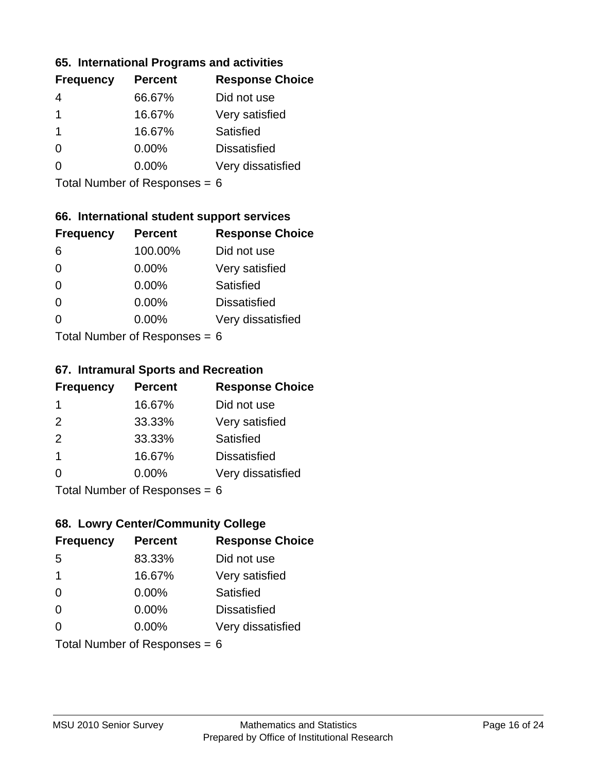#### **65. International Programs and activities**

| <b>Frequency</b> | <b>Percent</b> | <b>Response Choice</b> |
|------------------|----------------|------------------------|
| 4                | 66.67%         | Did not use            |
|                  | 16.67%         | Very satisfied         |
|                  | 16.67%         | Satisfied              |
| 0                | $0.00\%$       | <b>Dissatisfied</b>    |
|                  | $0.00\%$       | Very dissatisfied      |
|                  |                |                        |

Total Number of Responses = 6

## **66. International student support services**

| <b>Frequency</b>          | <b>Percent</b> | <b>Response Choice</b> |
|---------------------------|----------------|------------------------|
| 6                         | 100.00%        | Did not use            |
| 0                         | 0.00%          | Very satisfied         |
| $\Omega$                  | 0.00%          | Satisfied              |
| $\Omega$                  | 0.00%          | <b>Dissatisfied</b>    |
| ∩                         | 0.00%          | Very dissatisfied      |
| Total Number of Desponses |                |                        |

Total Number of Responses = 6

#### **67. Intramural Sports and Recreation**

| <b>Frequency</b>            | <b>Percent</b> | <b>Response Choice</b> |
|-----------------------------|----------------|------------------------|
| -1                          | 16.67%         | Did not use            |
| 2                           | 33.33%         | Very satisfied         |
| 2                           | 33.33%         | Satisfied              |
| -1                          | 16.67%         | <b>Dissatisfied</b>    |
| $\Omega$                    | 0.00%          | Very dissatisfied      |
| Total Number of Desponses C |                |                        |

Total Number of Responses = 6

## **68. Lowry Center/Community College**

| <b>Frequency</b>                | <b>Percent</b> | <b>Response Choice</b> |
|---------------------------------|----------------|------------------------|
| 5                               | 83.33%         | Did not use            |
| 1                               | 16.67%         | Very satisfied         |
| $\Omega$                        | 0.00%          | Satisfied              |
| $\Omega$                        | 0.00%          | <b>Dissatisfied</b>    |
| 0                               | $0.00\%$       | Very dissatisfied      |
| Total Number of Responses = $6$ |                |                        |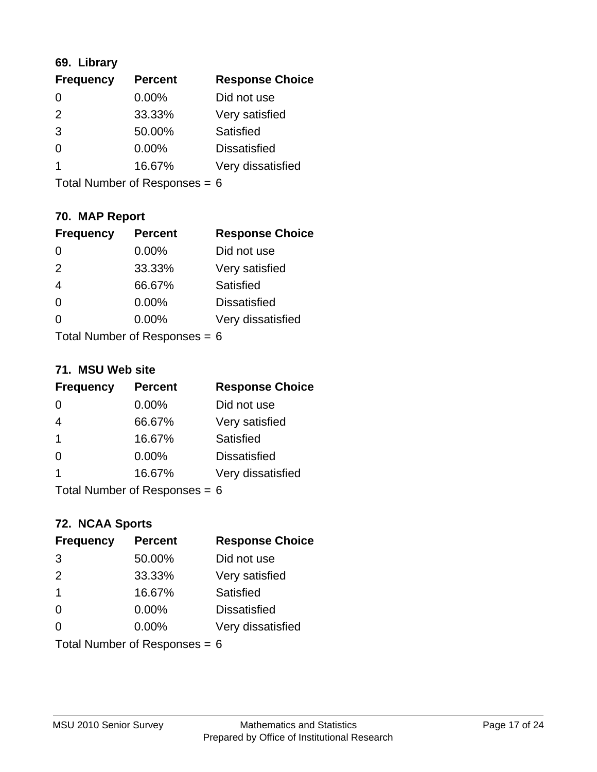## **69. Library**

| <b>Frequency</b> | <b>Percent</b> | <b>Response Choice</b> |
|------------------|----------------|------------------------|
| 0                | 0.00%          | Did not use            |
| $\mathcal{P}$    | 33.33%         | Very satisfied         |
| 3                | 50.00%         | Satisfied              |
| $\Omega$         | 0.00%          | <b>Dissatisfied</b>    |
|                  | 16.67%         | Very dissatisfied      |
|                  |                |                        |

Total Number of Responses = 6

## **70. MAP Report**

| <b>Frequency</b>                | <b>Percent</b> | <b>Response Choice</b> |
|---------------------------------|----------------|------------------------|
| $\Omega$                        | 0.00%          | Did not use            |
| 2                               | 33.33%         | Very satisfied         |
| $\overline{4}$                  | 66.67%         | Satisfied              |
| $\Omega$                        | 0.00%          | <b>Dissatisfied</b>    |
| 0                               | 0.00%          | Very dissatisfied      |
| Total Number of Responses = $6$ |                |                        |

#### **71. MSU Web site**

| <b>Frequency</b>                | <b>Percent</b> | <b>Response Choice</b> |
|---------------------------------|----------------|------------------------|
| $\Omega$                        | $0.00\%$       | Did not use            |
| $\overline{4}$                  | 66.67%         | Very satisfied         |
| $\overline{1}$                  | 16.67%         | Satisfied              |
| $\Omega$                        | $0.00\%$       | <b>Dissatisfied</b>    |
| 1                               | 16.67%         | Very dissatisfied      |
| Total Number of Responses = $6$ |                |                        |

#### **72. NCAA Sports**

| <b>Frequency</b>                | <b>Percent</b> | <b>Response Choice</b> |
|---------------------------------|----------------|------------------------|
| 3                               | 50.00%         | Did not use            |
| 2                               | 33.33%         | Very satisfied         |
| $\mathbf 1$                     | 16.67%         | Satisfied              |
| $\Omega$                        | 0.00%          | <b>Dissatisfied</b>    |
| $\Omega$                        | $0.00\%$       | Very dissatisfied      |
| Total Number of Responses = $6$ |                |                        |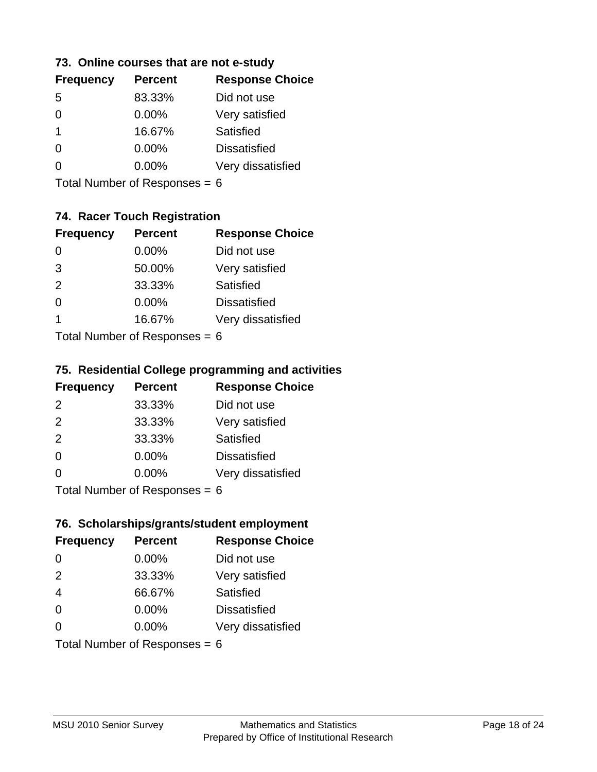#### **73. Online courses that are not e-study**

| <b>Frequency</b> | <b>Percent</b> | <b>Response Choice</b> |
|------------------|----------------|------------------------|
| 5                | 83.33%         | Did not use            |
|                  | $0.00\%$       | Very satisfied         |
| 1                | 16.67%         | Satisfied              |
|                  | $0.00\%$       | <b>Dissatisfied</b>    |
|                  | $0.00\%$       | Very dissatisfied      |
|                  |                |                        |

Total Number of Responses = 6

## **74. Racer Touch Registration**

| <b>Frequency</b> | <b>Percent</b>            | <b>Response Choice</b> |
|------------------|---------------------------|------------------------|
| 0                | 0.00%                     | Did not use            |
| 3                | 50.00%                    | Very satisfied         |
| 2                | 33.33%                    | <b>Satisfied</b>       |
| ∩                | 0.00%                     | <b>Dissatisfied</b>    |
| 1                | 16.67%                    | Very dissatisfied      |
|                  | Total Number of Despenses |                        |

Total Number of Responses = 6

## **75. Residential College programming and activities**

| <b>Frequency</b> | <b>Percent</b>                        | <b>Response Choice</b> |
|------------------|---------------------------------------|------------------------|
| 2                | 33.33%                                | Did not use            |
| 2                | 33.33%                                | Very satisfied         |
| 2                | 33.33%                                | Satisfied              |
| $\Omega$         | 0.00%                                 | <b>Dissatisfied</b>    |
| $\Omega$         | 0.00%                                 | Very dissatisfied      |
|                  | $Total Number of DoEROROR = \epsilon$ |                        |

Total Number of Responses = 6

## **76. Scholarships/grants/student employment**

| <b>Frequency</b> | <b>Percent</b>                  | <b>Response Choice</b> |
|------------------|---------------------------------|------------------------|
| 0                | 0.00%                           | Did not use            |
| 2                | 33.33%                          | Very satisfied         |
| $\overline{4}$   | 66.67%                          | Satisfied              |
| $\Omega$         | 0.00%                           | <b>Dissatisfied</b>    |
| $\Omega$         | 0.00%                           | Very dissatisfied      |
|                  | Total Number of Responses = $6$ |                        |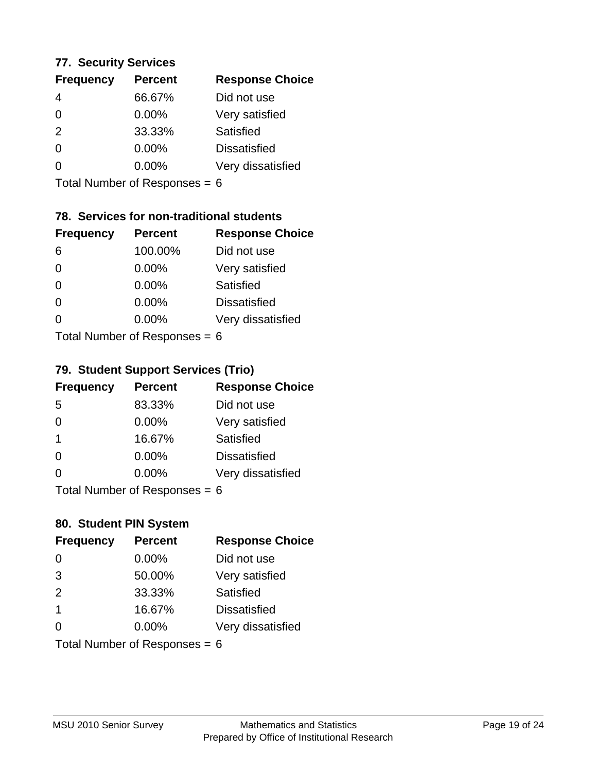#### **77. Security Services**

| <b>Frequency</b> | <b>Percent</b> | <b>Response Choice</b> |
|------------------|----------------|------------------------|
| 4                | 66.67%         | Did not use            |
| $\Omega$         | 0.00%          | Very satisfied         |
| 2                | 33.33%         | Satisfied              |
| $\Omega$         | $0.00\%$       | <b>Dissatisfied</b>    |
| ∩                | $0.00\%$       | Very dissatisfied      |
|                  |                |                        |

Total Number of Responses = 6

## **78. Services for non-traditional students**

| <b>Frequency</b> | <b>Percent</b>            | <b>Response Choice</b> |
|------------------|---------------------------|------------------------|
| 6                | 100.00%                   | Did not use            |
| $\Omega$         | 0.00%                     | Very satisfied         |
| $\Omega$         | 0.00%                     | <b>Satisfied</b>       |
| $\Omega$         | 0.00%                     | <b>Dissatisfied</b>    |
| ∩                | 0.00%                     | Very dissatisfied      |
|                  | Total Number of Desponses |                        |

Total Number of Responses = 6

#### **79. Student Support Services (Trio)**

| <b>Frequency</b> | <b>Percent</b>            | <b>Response Choice</b> |
|------------------|---------------------------|------------------------|
| -5               | 83.33%                    | Did not use            |
| $\Omega$         | $0.00\%$                  | Very satisfied         |
| $\mathbf 1$      | 16.67%                    | Satisfied              |
| $\Omega$         | 0.00%                     | <b>Dissatisfied</b>    |
| ∩                | 0.00%                     | Very dissatisfied      |
|                  | Total Number of Desponses |                        |

Total Number of Responses = 6

## **80. Student PIN System**

| <b>Frequency</b> | <b>Percent</b>                  | <b>Response Choice</b> |
|------------------|---------------------------------|------------------------|
| $\Omega$         | 0.00%                           | Did not use            |
| 3                | 50.00%                          | Very satisfied         |
| 2                | 33.33%                          | Satisfied              |
| $\mathbf 1$      | 16.67%                          | <b>Dissatisfied</b>    |
| $\Omega$         | 0.00%                           | Very dissatisfied      |
|                  | Total Number of Responses = $6$ |                        |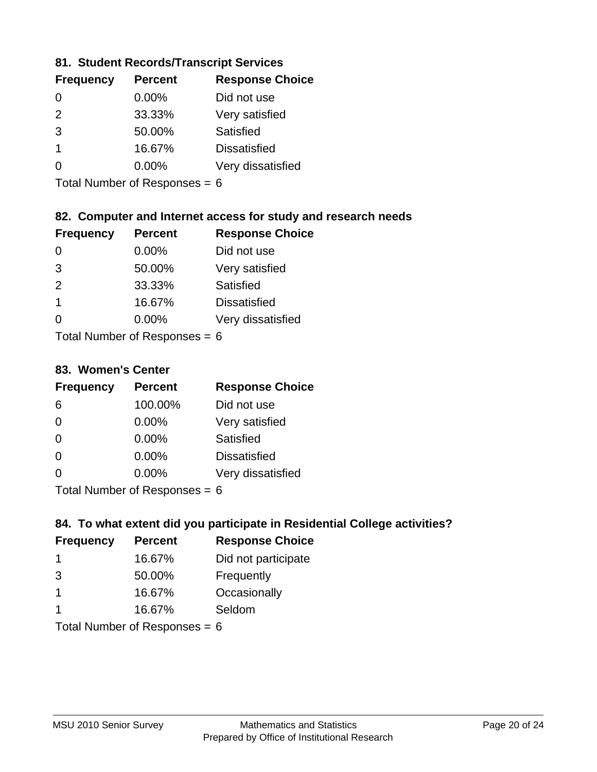#### **81. Student Records/Transcript Services**

| <b>Percent</b> | <b>Response Choice</b> |
|----------------|------------------------|
| 0.00%          | Did not use            |
| 33.33%         | Very satisfied         |
| 50.00%         | Satisfied              |
| 16.67%         | <b>Dissatisfied</b>    |
| $0.00\%$       | Very dissatisfied      |
|                |                        |

Total Number of Responses = 6

## **82. Computer and Internet access for study and research needs**

| <b>Frequency</b> | <b>Percent</b>             | <b>Response Choice</b> |
|------------------|----------------------------|------------------------|
| 0                | 0.00%                      | Did not use            |
| 3                | 50.00%                     | Very satisfied         |
| 2                | 33.33%                     | Satisfied              |
| $\mathbf 1$      | 16.67%                     | <b>Dissatisfied</b>    |
| ∩                | 0.00%                      | Very dissatisfied      |
|                  | Tatal Number of Desperance |                        |

Total Number of Responses = 6

#### **83. Women's Center**

| <b>Frequency</b> | <b>Percent</b>            | <b>Response Choice</b> |
|------------------|---------------------------|------------------------|
| 6                | 100.00%                   | Did not use            |
| $\Omega$         | 0.00%                     | Very satisfied         |
| $\Omega$         | $0.00\%$                  | Satisfied              |
| $\Omega$         | $0.00\%$                  | <b>Dissatisfied</b>    |
| ∩                | 0.00%                     | Very dissatisfied      |
|                  | Total Number of Despasses |                        |

Total Number of Responses = 6

#### **84. To what extent did you participate in Residential College activities?**

| <b>Frequency</b> | <b>Percent</b>            | <b>Response Choice</b> |
|------------------|---------------------------|------------------------|
| 1                | 16.67%                    | Did not participate    |
| 3                | 50.00%                    | Frequently             |
| 1                | 16.67%                    | Occasionally           |
| 1                | 16.67%                    | Seldom                 |
|                  | Total Number of Deepersee |                        |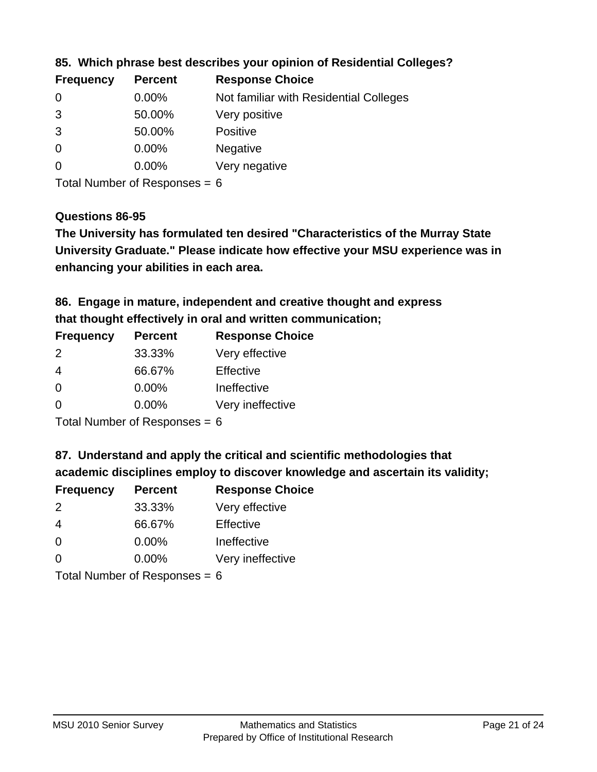| Not familiar with Residential Colleges |
|----------------------------------------|
|                                        |
|                                        |
|                                        |
|                                        |
|                                        |

**85. Which phrase best describes your opinion of Residential Colleges?**

Total Number of Responses = 6

#### **Questions 86-95**

**University Graduate." Please indicate how effective your MSU experience was in The University has formulated ten desired "Characteristics of the Murray State enhancing your abilities in each area.**

**86. Engage in mature, independent and creative thought and express that thought effectively in oral and written communication;**

| <b>Percent</b> | <b>Response Choice</b> |
|----------------|------------------------|
| 33.33%         | Very effective         |
| 66.67%         | Effective              |
| 0.00%          | Ineffective            |
| $0.00\%$       | Very ineffective       |
|                |                        |

Total Number of Responses  $= 6$ 

**87. Understand and apply the critical and scientific methodologies that** 

**academic disciplines employ to discover knowledge and ascertain its validity;**

| <b>Frequency</b> | <b>Percent</b> | <b>Response Choice</b> |
|------------------|----------------|------------------------|
| $\mathcal{P}$    | 33.33%         | Very effective         |
| $\overline{4}$   | 66.67%         | Effective              |
| $\Omega$         | 0.00%          | Ineffective            |
| $\Omega$         | 0.00%          | Very ineffective       |
|                  |                |                        |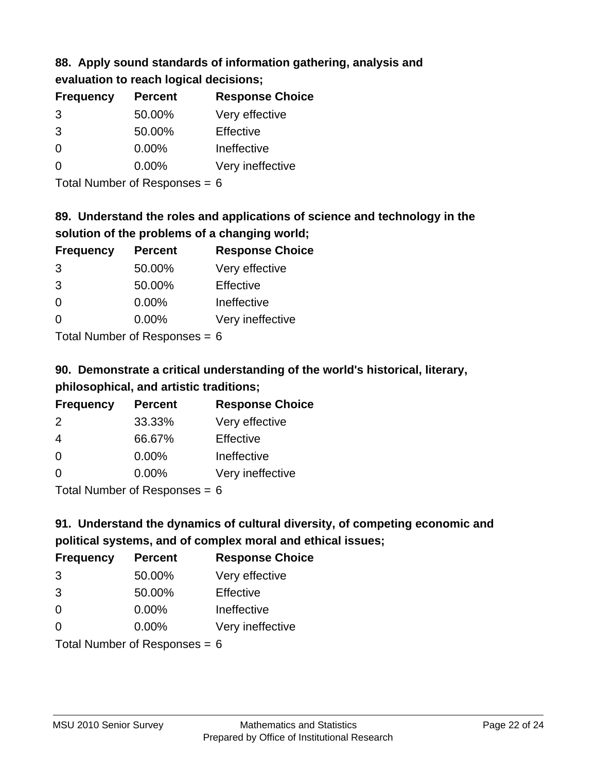# **88. Apply sound standards of information gathering, analysis and**

| evaluation to reach logical decisions; |  |
|----------------------------------------|--|
|----------------------------------------|--|

| <b>Frequency</b> | <b>Percent</b> | <b>Response Choice</b> |
|------------------|----------------|------------------------|
| 3                | 50.00%         | Very effective         |
| 3                | 50.00%         | Effective              |
| $\Omega$         | $0.00\%$       | Ineffective            |
| ∩                | $0.00\%$       | Very ineffective       |

Total Number of Responses = 6

# **89. Understand the roles and applications of science and technology in the solution of the problems of a changing world;**

| <b>Frequency</b> | <b>Percent</b> | <b>Response Choice</b> |
|------------------|----------------|------------------------|
| 3                | 50.00%         | Very effective         |
| 3                | 50.00%         | Effective              |
| $\Omega$         | 0.00%          | Ineffective            |
| $\Omega$         | 0.00%          | Very ineffective       |
|                  |                |                        |

Total Number of Responses  $= 6$ 

# **90. Demonstrate a critical understanding of the world's historical, literary, philosophical, and artistic traditions;**

| <b>Frequency</b> | <b>Percent</b> | <b>Response Choice</b> |
|------------------|----------------|------------------------|
| 2                | 33.33%         | Very effective         |
| $\overline{4}$   | 66.67%         | Effective              |
| $\Omega$         | 0.00%          | Ineffective            |
| $\Omega$         | 0.00%          | Very ineffective       |
|                  |                |                        |

Total Number of Responses = 6

# **91. Understand the dynamics of cultural diversity, of competing economic and political systems, and of complex moral and ethical issues;**

| <b>Frequency</b>                | <b>Percent</b> | <b>Response Choice</b> |
|---------------------------------|----------------|------------------------|
| 3                               | 50.00%         | Very effective         |
| 3                               | 50.00%         | Effective              |
| $\Omega$                        | $0.00\%$       | Ineffective            |
| $\Omega$                        | $0.00\%$       | Very ineffective       |
| Total Number of Responses = $6$ |                |                        |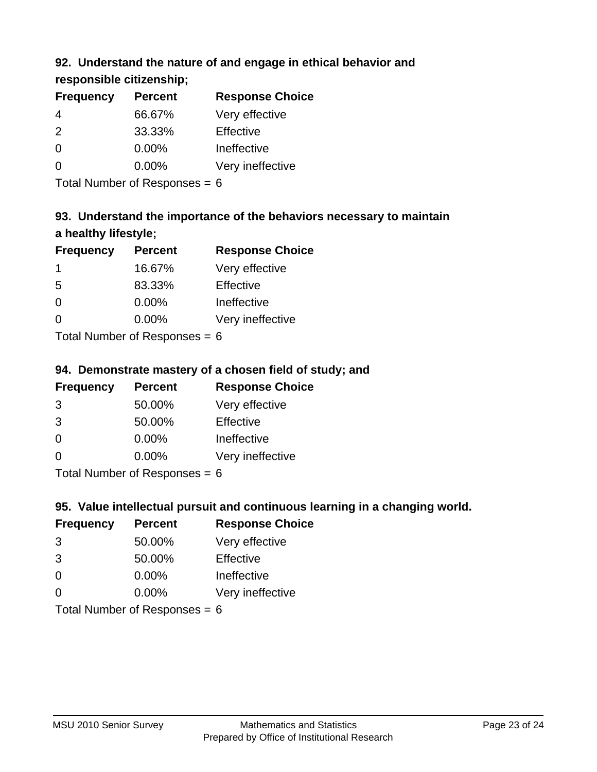## **92. Understand the nature of and engage in ethical behavior and**

**responsible citizenship;**

| <b>Percent</b> | <b>Response Choice</b> |
|----------------|------------------------|
| 66.67%         | Very effective         |
| 33.33%         | Effective              |
| $0.00\%$       | Ineffective            |
| $0.00\%$       | Very ineffective       |
|                |                        |

Total Number of Responses  $= 6$ 

# **93. Understand the importance of the behaviors necessary to maintain a healthy lifestyle;**

| <b>Frequency</b> | <b>Percent</b> | <b>Response Choice</b> |
|------------------|----------------|------------------------|
|                  | 16.67%         | Very effective         |
| 5                | 83.33%         | Effective              |
| $\Omega$         | 0.00%          | Ineffective            |
| $\Omega$         | 0.00%          | Very ineffective       |
|                  |                |                        |

Total Number of Responses = 6

## **94. Demonstrate mastery of a chosen field of study; and**

| <b>Frequency</b> | <b>Percent</b> | <b>Response Choice</b> |
|------------------|----------------|------------------------|
| 3                | 50.00%         | Very effective         |
| 3                | 50.00%         | Effective              |
| $\Omega$         | $0.00\%$       | Ineffective            |
| 0                | $0.00\%$       | Very ineffective       |
|                  |                |                        |

Total Number of Responses = 6

## **95. Value intellectual pursuit and continuous learning in a changing world.**

| <b>Frequency</b> | <b>Percent</b> | <b>Response Choice</b> |
|------------------|----------------|------------------------|
| 3                | 50.00%         | Very effective         |
| 3                | 50.00%         | Effective              |
| $\Omega$         | 0.00%          | Ineffective            |
| O                | 0.00%          | Very ineffective       |
|                  |                |                        |